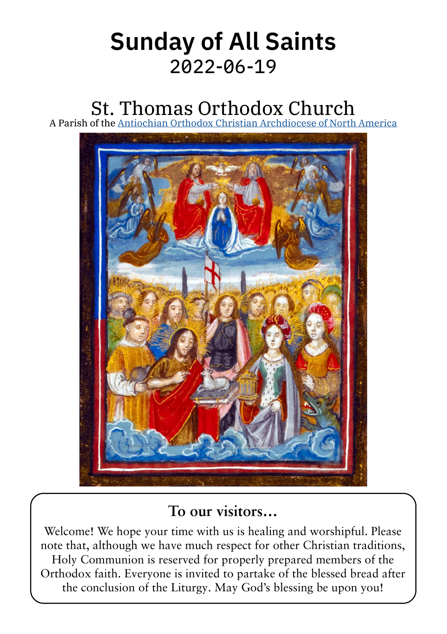# Sunday of All Saints 2022‑06‑19

# St. Thomas Orthodox Church

A Parish of the [Antiochian Orthodox Christian Archdiocese of North America](https://www.antiochian.org)



### **To our visitors…**

Welcome! We hope your time with us is healing and worshipful. Please note that, although we have much respect for other Christian traditions, Holy Communion is reserved for properly prepared members of the Orthodox faith. Everyone is invited to partake of the blessed bread after the conclusion of the Liturgy. May God's blessing be upon you!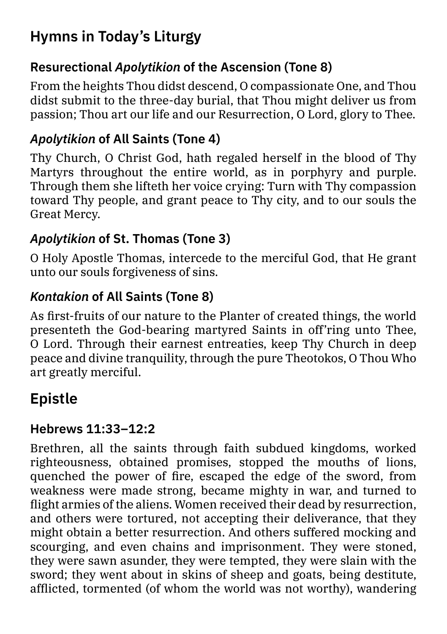## Hymns in Today's Liturgy

#### Resurectional *Apolytikion* of the Ascension (Tone 8)

From the heights Thou didst descend, O compassionate One, and Thou didst submit to the three-day burial, that Thou might deliver us from passion; Thou art our life and our Resurrection, O Lord, glory to Thee.

#### *Apolytikion* of All Saints (Tone 4)

Thy Church, O Christ God, hath regaled herself in the blood of Thy Martyrs throughout the entire world, as in porphyry and purple. Through them she lifteth her voice crying: Turn with Thy compassion toward Thy people, and grant peace to Thy city, and to our souls the Great Mercy.

#### *Apolytikion* of St. Thomas (Tone 3)

O Holy Apostle Thomas, intercede to the merciful God, that He grant unto our souls forgiveness of sins.

#### *Kontakion* of All Saints (Tone 8)

As first-fruits of our nature to the Planter of created things, the world presenteth the God-bearing martyred Saints in off'ring unto Thee, O Lord. Through their earnest entreaties, keep Thy Church in deep peace and divine tranquility, through the pure Theotokos, O Thou Who art greatly merciful.

## Epistle

#### Hebrews 11:33–12:2

Brethren, all the saints through faith subdued kingdoms, worked righteousness, obtained promises, stopped the mouths of lions, quenched the power of fire, escaped the edge of the sword, from weakness were made strong, became mighty in war, and turned to flight armies of the aliens. Women received their dead by resurrection, and others were tortured, not accepting their deliverance, that they might obtain a better resurrection. And others suffered mocking and scourging, and even chains and imprisonment. They were stoned, they were sawn asunder, they were tempted, they were slain with the sword; they went about in skins of sheep and goats, being destitute, afflicted, tormented (of whom the world was not worthy), wandering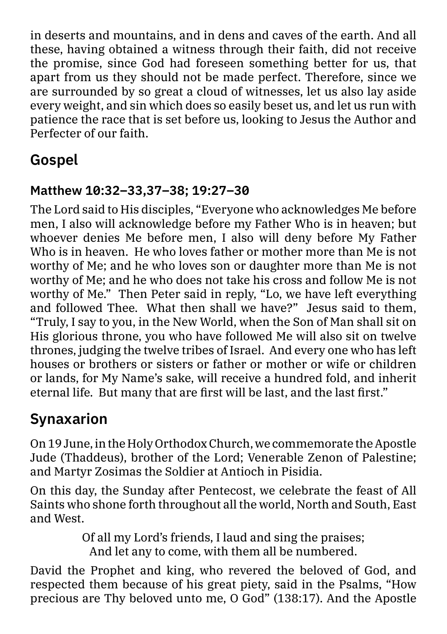in deserts and mountains, and in dens and caves of the earth. And all these, having obtained a witness through their faith, did not receive the promise, since God had foreseen something better for us, that apart from us they should not be made perfect. Therefore, since we are surrounded by so great a cloud of witnesses, let us also lay aside every weight, and sin which does so easily beset us, and let us run with patience the race that is set before us, looking to Jesus the Author and Perfecter of our faith.

## Gospel

#### Matthew 10:32–33,37–38; 19:27–30

The Lord said to His disciples, "Everyone who acknowledges Me before men, I also will acknowledge before my Father Who is in heaven; but whoever denies Me before men, I also will deny before My Father Who is in heaven. He who loves father or mother more than Me is not worthy of Me; and he who loves son or daughter more than Me is not worthy of Me; and he who does not take his cross and follow Me is not worthy of Me." Then Peter said in reply, "Lo, we have left everything and followed Thee. What then shall we have?" Jesus said to them, "Truly, I say to you, in the New World, when the Son of Man shall sit on His glorious throne, you who have followed Me will also sit on twelve thrones, judging the twelve tribes of Israel. And every one who has left houses or brothers or sisters or father or mother or wife or children or lands, for My Name's sake, will receive a hundred fold, and inherit eternal life. But many that are first will be last, and the last first."

# Synaxarion

On 19 June, in the Holy Orthodox Church, we commemorate the Apostle Jude (Thaddeus), brother of the Lord; Venerable Zenon of Palestine; and Martyr Zosimas the Soldier at Antioch in Pisidia.

On this day, the Sunday after Pentecost, we celebrate the feast of All Saints who shone forth throughout all the world, North and South, East and West.

> Of all my Lord's friends, I laud and sing the praises; And let any to come, with them all be numbered.

David the Prophet and king, who revered the beloved of God, and respected them because of his great piety, said in the Psalms, "How precious are Thy beloved unto me, O God" (138:17). And the Apostle